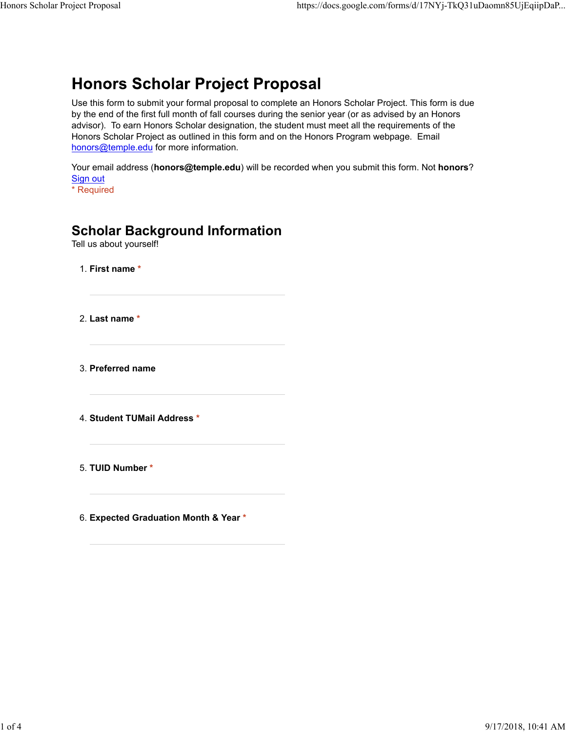# **Honors Scholar Project Proposal**

Use this form to submit your formal proposal to complete an Honors Scholar Project. This form is due by the end of the first full month of fall courses during the senior year (or as advised by an Honors advisor). To earn Honors Scholar designation, the student must meet all the requirements of the Honors Scholar Project as outlined in this form and on the Honors Program webpage. Email honors@temple.edu for more information.

Your email address (**honors@temple.edu**) will be recorded when you submit this form. Not **honors**? Sign out

\* Required

### **Scholar Background Information**

Tell us about yourself!

1. **First name \***

2. **Last name \***

3. **Preferred name**

4. **Student TUMail Address \***

5. **TUID Number \***

6. **Expected Graduation Month & Year \***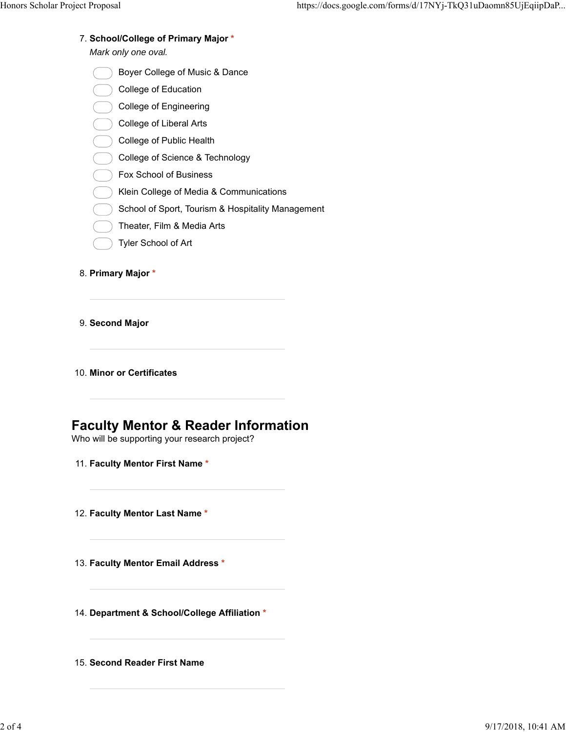**School/College of Primary Major \*** 7.

*Mark only one oval.*

- Boyer College of Music & Dance
- College of Education
- College of Engineering
- College of Liberal Arts
- College of Public Health
- College of Science & Technology
- Fox School of Business
- Klein College of Media & Communications
- School of Sport, Tourism & Hospitality Management
- Theater, Film & Media Arts
- Tyler School of Art
- 8. **Primary Major \***
- 9. **Second Major**
- 10. **Minor or Certificates**

## **Faculty Mentor & Reader Information**

Who will be supporting your research project?

- 11. **Faculty Mentor First Name \***
- 12. **Faculty Mentor Last Name \***
- 13. **Faculty Mentor Email Address \***
- 14. **Department & School/College Affiliation \***
- 15. **Second Reader First Name**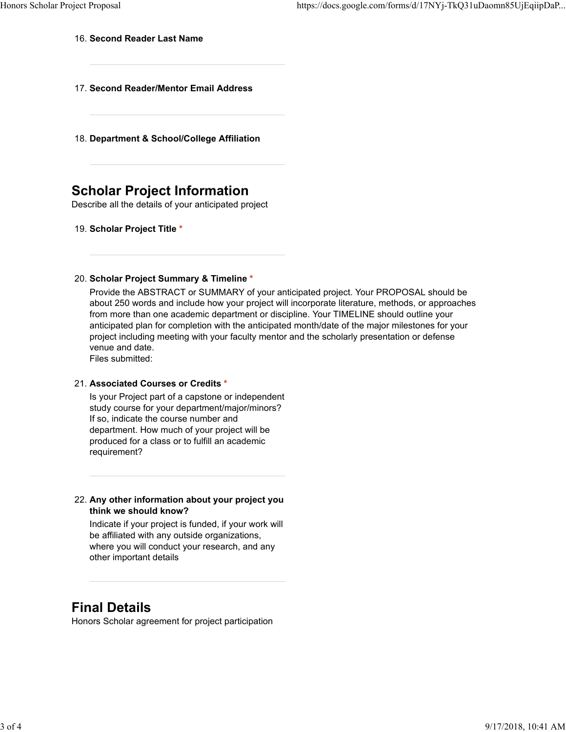### 16. **Second Reader Last Name**

- 17. **Second Reader/Mentor Email Address**
- 18. **Department & School/College Affiliation**

# **Scholar Project Information**

Describe all the details of your anticipated project

19. **Scholar Project Title \***

### **Scholar Project Summary & Timeline \*** 20.

Provide the ABSTRACT or SUMMARY of your anticipated project. Your PROPOSAL should be about 250 words and include how your project will incorporate literature, methods, or approaches from more than one academic department or discipline. Your TIMELINE should outline your anticipated plan for completion with the anticipated month/date of the major milestones for your project including meeting with your faculty mentor and the scholarly presentation or defense venue and date.

Files submitted:

#### **Associated Courses or Credits \*** 21.

Is your Project part of a capstone or independent study course for your department/major/minors? If so, indicate the course number and department. How much of your project will be produced for a class or to fulfill an academic requirement?

### **Any other information about your project you** 22. **think we should know?**

Indicate if your project is funded, if your work will be affiliated with any outside organizations, where you will conduct your research, and any other important details

### **Final Details**

Honors Scholar agreement for project participation